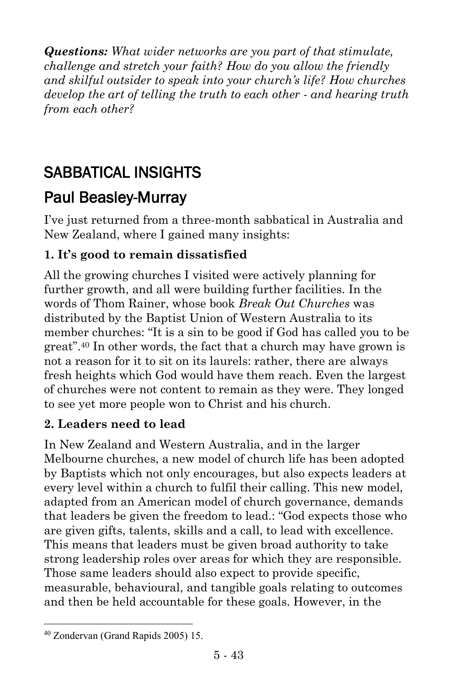*Questions: What wider networks are you part of that stimulate, challenge and stretch your faith? How do you allow the friendly and skilful outsider to speak into your church's life? How churches develop the art of telling the truth to each other - and hearing truth from each other?*

# SABBATICAL INSIGHTS

## [Paul Beasley-Murray](https://www.ministrytoday.org.uk/magazine/authors/423/)

I've just returned from a three-month sabbatical in Australia and New Zealand, where I gained many insights:

## **1. It's good to remain dissatisfied**

All the growing churches I visited were actively planning for further growth, and all were building further facilities. In the words of Thom Rainer, whose book *Break Out Churches* was distributed by the Baptist Union of Western Australia to its member churches: "It is a sin to be good if God has called you to be great".<sup>40</sup> In other words, the fact that a church may have grown is not a reason for it to sit on its laurels: rather, there are always fresh heights which God would have them reach. Even the largest of churches were not content to remain as they were. They longed to see yet more people won to Christ and his church.

#### **2. Leaders need to lead**

In New Zealand and Western Australia, and in the larger Melbourne churches, a new model of church life has been adopted by Baptists which not only encourages, but also expects leaders at every level within a church to fulfil their calling. This new model, adapted from an American model of church governance, demands that leaders be given the freedom to lead.: "God expects those who are given gifts, talents, skills and a call, to lead with excellence. This means that leaders must be given broad authority to take strong leadership roles over areas for which they are responsible. Those same leaders should also expect to provide specific, measurable, behavioural, and tangible goals relating to outcomes and then be held accountable for these goals. However, in the

 $\overline{a}$ 

<sup>40</sup> Zondervan (Grand Rapids 2005) 15.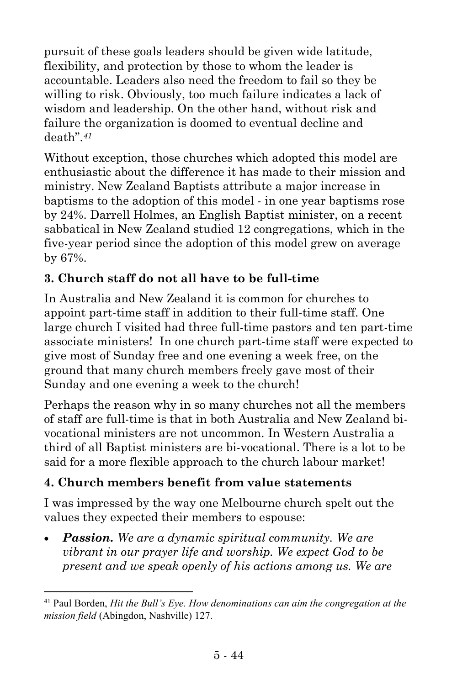pursuit of these goals leaders should be given wide latitude, flexibility, and protection by those to whom the leader is accountable. Leaders also need the freedom to fail so they be willing to risk. Obviously, too much failure indicates a lack of wisdom and leadership. On the other hand, without risk and failure the organization is doomed to eventual decline and death".*<sup>41</sup>*

Without exception, those churches which adopted this model are enthusiastic about the difference it has made to their mission and ministry. New Zealand Baptists attribute a major increase in baptisms to the adoption of this model - in one year baptisms rose by 24%. Darrell Holmes, an English Baptist minister, on a recent sabbatical in New Zealand studied 12 congregations, which in the five-year period since the adoption of this model grew on average by 67%.

#### **3. Church staff do not all have to be full-time**

In Australia and New Zealand it is common for churches to appoint part-time staff in addition to their full-time staff. One large church I visited had three full-time pastors and ten part-time associate ministers! In one church part-time staff were expected to give most of Sunday free and one evening a week free, on the ground that many church members freely gave most of their Sunday and one evening a week to the church!

Perhaps the reason why in so many churches not all the members of staff are full-time is that in both Australia and New Zealand bivocational ministers are not uncommon. In Western Australia a third of all Baptist ministers are bi-vocational. There is a lot to be said for a more flexible approach to the church labour market!

#### **4. Church members benefit from value statements**

 $\overline{a}$ 

I was impressed by the way one Melbourne church spelt out the values they expected their members to espouse:

• *Passion. We are a dynamic spiritual community. We are vibrant in our prayer life and worship. We expect God to be present and we speak openly of his actions among us. We are* 

<sup>41</sup> Paul Borden, *Hit the Bull's Eye. How denominations can aim the congregation at the mission field* (Abingdon, Nashville) 127.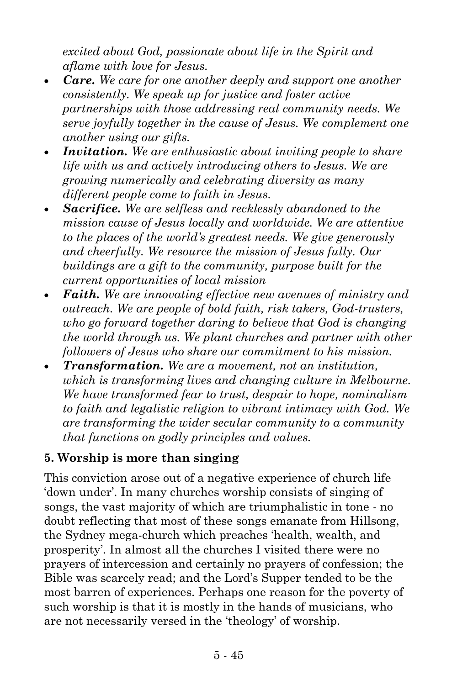*excited about God, passionate about life in the Spirit and aflame with love for Jesus.*

- *Care. We care for one another deeply and support one another consistently. We speak up for justice and foster active partnerships with those addressing real community needs. We serve joyfully together in the cause of Jesus. We complement one another using our gifts.*
- *Invitation. We are enthusiastic about inviting people to share life with us and actively introducing others to Jesus. We are growing numerically and celebrating diversity as many different people come to faith in Jesus.*
- *Sacrifice. We are selfless and recklessly abandoned to the mission cause of Jesus locally and worldwide. We are attentive to the places of the world's greatest needs. We give generously and cheerfully. We resource the mission of Jesus fully. Our buildings are a gift to the community, purpose built for the current opportunities of local mission*
- *Faith. We are innovating effective new avenues of ministry and outreach. We are people of bold faith, risk takers, God-trusters, who go forward together daring to believe that God is changing the world through us. We plant churches and partner with other followers of Jesus who share our commitment to his mission.*
- *Transformation. We are a movement, not an institution, which is transforming lives and changing culture in Melbourne. We have transformed fear to trust, despair to hope, nominalism to faith and legalistic religion to vibrant intimacy with God. We are transforming the wider secular community to a community that functions on godly principles and values.*

#### **5. Worship is more than singing**

This conviction arose out of a negative experience of church life 'down under'. In many churches worship consists of singing of songs, the vast majority of which are triumphalistic in tone - no doubt reflecting that most of these songs emanate from Hillsong, the Sydney mega-church which preaches 'health, wealth, and prosperity'. In almost all the churches I visited there were no prayers of intercession and certainly no prayers of confession; the Bible was scarcely read; and the Lord's Supper tended to be the most barren of experiences. Perhaps one reason for the poverty of such worship is that it is mostly in the hands of musicians, who are not necessarily versed in the 'theology' of worship.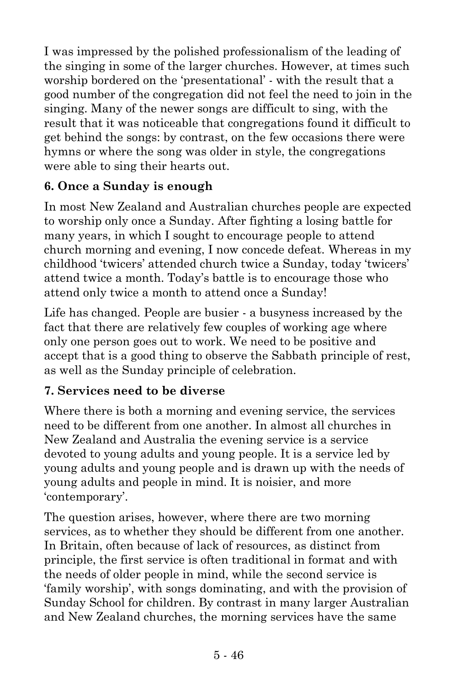I was impressed by the polished professionalism of the leading of the singing in some of the larger churches. However, at times such worship bordered on the 'presentational' - with the result that a good number of the congregation did not feel the need to join in the singing. Many of the newer songs are difficult to sing, with the result that it was noticeable that congregations found it difficult to get behind the songs: by contrast, on the few occasions there were hymns or where the song was older in style, the congregations were able to sing their hearts out.

## **6. Once a Sunday is enough**

In most New Zealand and Australian churches people are expected to worship only once a Sunday. After fighting a losing battle for many years, in which I sought to encourage people to attend church morning and evening, I now concede defeat. Whereas in my childhood 'twicers' attended church twice a Sunday, today 'twicers' attend twice a month. Today's battle is to encourage those who attend only twice a month to attend once a Sunday!

Life has changed. People are busier - a busyness increased by the fact that there are relatively few couples of working age where only one person goes out to work. We need to be positive and accept that is a good thing to observe the Sabbath principle of rest, as well as the Sunday principle of celebration.

## **7. Services need to be diverse**

Where there is both a morning and evening service, the services need to be different from one another. In almost all churches in New Zealand and Australia the evening service is a service devoted to young adults and young people. It is a service led by young adults and young people and is drawn up with the needs of young adults and people in mind. It is noisier, and more 'contemporary'.

The question arises, however, where there are two morning services, as to whether they should be different from one another. In Britain, often because of lack of resources, as distinct from principle, the first service is often traditional in format and with the needs of older people in mind, while the second service is 'family worship', with songs dominating, and with the provision of Sunday School for children. By contrast in many larger Australian and New Zealand churches, the morning services have the same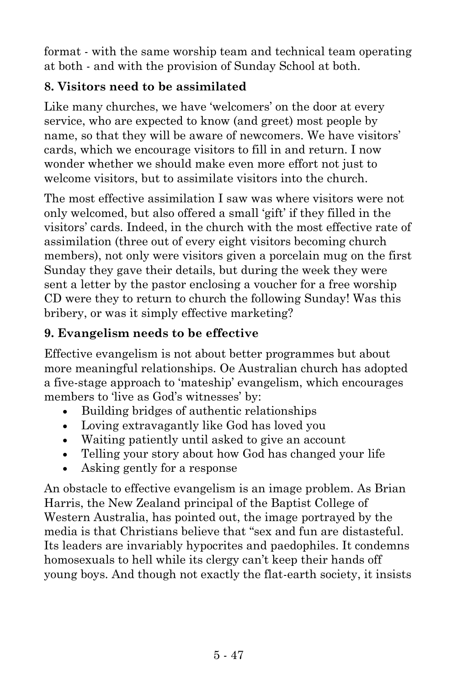format - with the same worship team and technical team operating at both - and with the provision of Sunday School at both.

### **8. Visitors need to be assimilated**

Like many churches, we have 'welcomers' on the door at every service, who are expected to know (and greet) most people by name, so that they will be aware of newcomers. We have visitors' cards, which we encourage visitors to fill in and return. I now wonder whether we should make even more effort not just to welcome visitors, but to assimilate visitors into the church.

The most effective assimilation I saw was where visitors were not only welcomed, but also offered a small 'gift' if they filled in the visitors' cards. Indeed, in the church with the most effective rate of assimilation (three out of every eight visitors becoming church members), not only were visitors given a porcelain mug on the first Sunday they gave their details, but during the week they were sent a letter by the pastor enclosing a voucher for a free worship CD were they to return to church the following Sunday! Was this bribery, or was it simply effective marketing?

## **9. Evangelism needs to be effective**

Effective evangelism is not about better programmes but about more meaningful relationships. Oe Australian church has adopted a five-stage approach to 'mateship' evangelism, which encourages members to 'live as God's witnesses' by:

- Building bridges of authentic relationships
- Loving extravagantly like God has loved you
- Waiting patiently until asked to give an account
- Telling your story about how God has changed your life
- Asking gently for a response

An obstacle to effective evangelism is an image problem. As Brian Harris, the New Zealand principal of the Baptist College of Western Australia, has pointed out, the image portrayed by the media is that Christians believe that "sex and fun are distasteful. Its leaders are invariably hypocrites and paedophiles. It condemns homosexuals to hell while its clergy can't keep their hands off young boys. And though not exactly the flat-earth society, it insists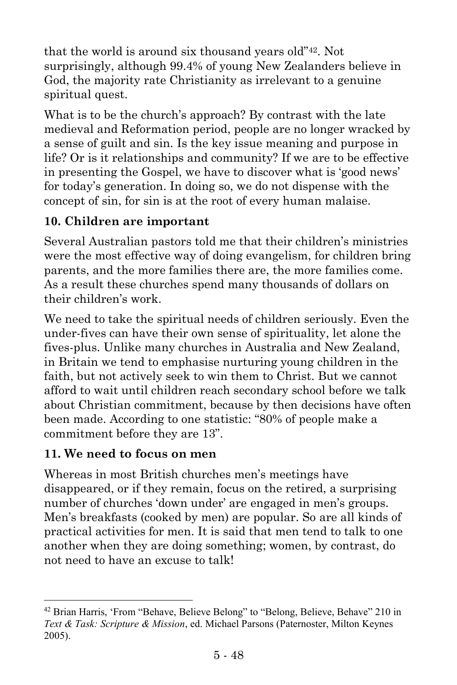that the world is around six thousand years old"42. Not surprisingly, although 99.4% of young New Zealanders believe in God, the majority rate Christianity as irrelevant to a genuine spiritual quest.

What is to be the church's approach? By contrast with the late medieval and Reformation period, people are no longer wracked by a sense of guilt and sin. Is the key issue meaning and purpose in life? Or is it relationships and community? If we are to be effective in presenting the Gospel, we have to discover what is 'good news' for today's generation. In doing so, we do not dispense with the concept of sin, for sin is at the root of every human malaise.

#### **10. Children are important**

Several Australian pastors told me that their children's ministries were the most effective way of doing evangelism, for children bring parents, and the more families there are, the more families come. As a result these churches spend many thousands of dollars on their children's work.

We need to take the spiritual needs of children seriously. Even the under-fives can have their own sense of spirituality, let alone the fives-plus. Unlike many churches in Australia and New Zealand, in Britain we tend to emphasise nurturing young children in the faith, but not actively seek to win them to Christ. But we cannot afford to wait until children reach secondary school before we talk about Christian commitment, because by then decisions have often been made. According to one statistic: "80% of people make a commitment before they are 13".

#### **11. We need to focus on men**

l

Whereas in most British churches men's meetings have disappeared, or if they remain, focus on the retired, a surprising number of churches 'down under' are engaged in men's groups. Men's breakfasts (cooked by men) are popular. So are all kinds of practical activities for men. It is said that men tend to talk to one another when they are doing something; women, by contrast, do not need to have an excuse to talk!

<sup>&</sup>lt;sup>42</sup> Brian Harris, 'From "Behave, Believe Belong" to "Belong, Believe, Behave" 210 in *Text & Task: Scripture & Mission*, ed. Michael Parsons (Paternoster, Milton Keynes 2005).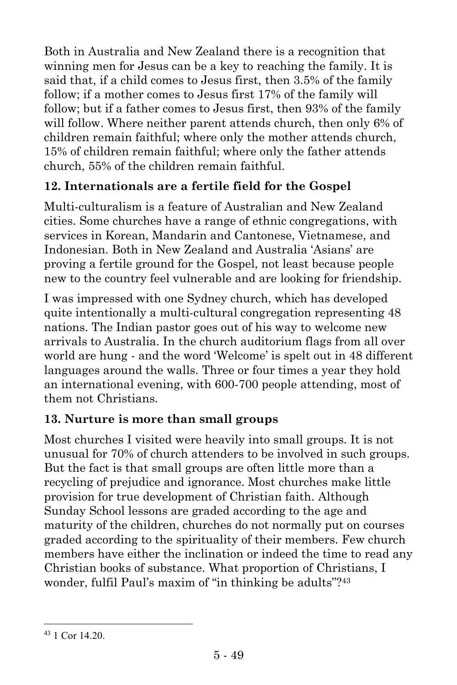Both in Australia and New Zealand there is a recognition that winning men for Jesus can be a key to reaching the family. It is said that, if a child comes to Jesus first, then 3.5% of the family follow; if a mother comes to Jesus first 17% of the family will follow; but if a father comes to Jesus first, then 93% of the family will follow. Where neither parent attends church, then only 6% of children remain faithful; where only the mother attends church, 15% of children remain faithful; where only the father attends church, 55% of the children remain faithful.

## **12. Internationals are a fertile field for the Gospel**

Multi-culturalism is a feature of Australian and New Zealand cities. Some churches have a range of ethnic congregations, with services in Korean, Mandarin and Cantonese, Vietnamese, and Indonesian. Both in New Zealand and Australia 'Asians' are proving a fertile ground for the Gospel, not least because people new to the country feel vulnerable and are looking for friendship.

I was impressed with one Sydney church, which has developed quite intentionally a multi-cultural congregation representing 48 nations. The Indian pastor goes out of his way to welcome new arrivals to Australia. In the church auditorium flags from all over world are hung - and the word 'Welcome' is spelt out in 48 different languages around the walls. Three or four times a year they hold an international evening, with 600-700 people attending, most of them not Christians.

## **13. Nurture is more than small groups**

Most churches I visited were heavily into small groups. It is not unusual for 70% of church attenders to be involved in such groups. But the fact is that small groups are often little more than a recycling of prejudice and ignorance. Most churches make little provision for true development of Christian faith. Although Sunday School lessons are graded according to the age and maturity of the children, churches do not normally put on courses graded according to the spirituality of their members. Few church members have either the inclination or indeed the time to read any Christian books of substance. What proportion of Christians, I wonder, fulfil Paul's maxim of "in thinking be adults"?<sup>43</sup>

 $\overline{a}$ 

<sup>43</sup> 1 Cor 14.20.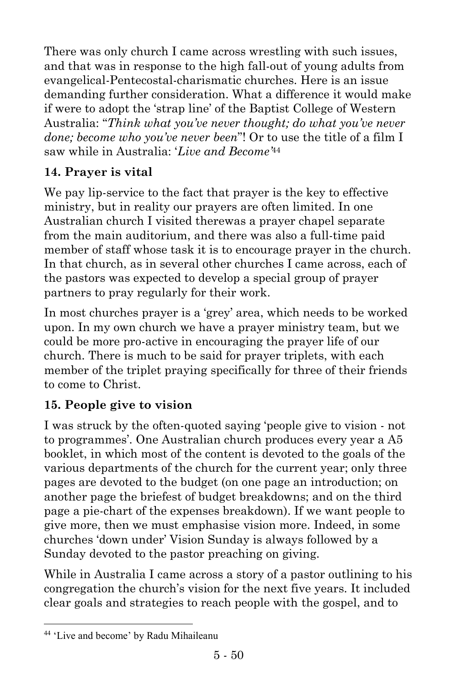There was only church I came across wrestling with such issues, and that was in response to the high fall-out of young adults from evangelical-Pentecostal-charismatic churches. Here is an issue demanding further consideration. What a difference it would make if were to adopt the 'strap line' of the Baptist College of Western Australia: "*Think what you've never thought; do what you've never done; become who you've never been*"! Or to use the title of a film I saw while in Australia: '*Live and Become'*<sup>44</sup>

## **14. Prayer is vital**

We pay lip-service to the fact that prayer is the key to effective ministry, but in reality our prayers are often limited. In one Australian church I visited therewas a prayer chapel separate from the main auditorium, and there was also a full-time paid member of staff whose task it is to encourage prayer in the church. In that church, as in several other churches I came across, each of the pastors was expected to develop a special group of prayer partners to pray regularly for their work.

In most churches prayer is a 'grey' area, which needs to be worked upon. In my own church we have a prayer ministry team, but we could be more pro-active in encouraging the prayer life of our church. There is much to be said for prayer triplets, with each member of the triplet praying specifically for three of their friends to come to Christ.

## **15. People give to vision**

I was struck by the often-quoted saying 'people give to vision - not to programmes'. One Australian church produces every year a A5 booklet, in which most of the content is devoted to the goals of the various departments of the church for the current year; only three pages are devoted to the budget (on one page an introduction; on another page the briefest of budget breakdowns; and on the third page a pie-chart of the expenses breakdown). If we want people to give more, then we must emphasise vision more. Indeed, in some churches 'down under' Vision Sunday is always followed by a Sunday devoted to the pastor preaching on giving.

While in Australia I came across a story of a pastor outlining to his congregation the church's vision for the next five years. It included clear goals and strategies to reach people with the gospel, and to

 $\overline{a}$ 

<sup>44</sup> 'Live and become' by Radu Mihaileanu